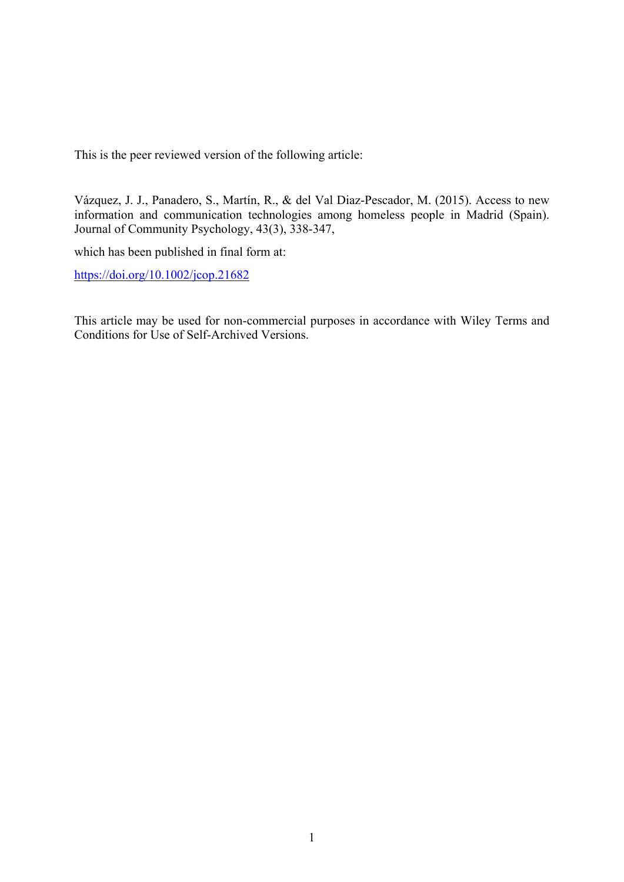This is the peer reviewed version of the following article:

Vázquez, J. J., Panadero, S., Martín, R., & del Val Diaz‐Pescador, M. (2015). Access to new information and communication technologies among homeless people in Madrid (Spain). Journal of Community Psychology, 43(3), 338-347,

which has been published in final form at:

https://doi.org/10.1002/jcop.21682

This article may be used for non-commercial purposes in accordance with Wiley Terms and Conditions for Use of Self-Archived Versions.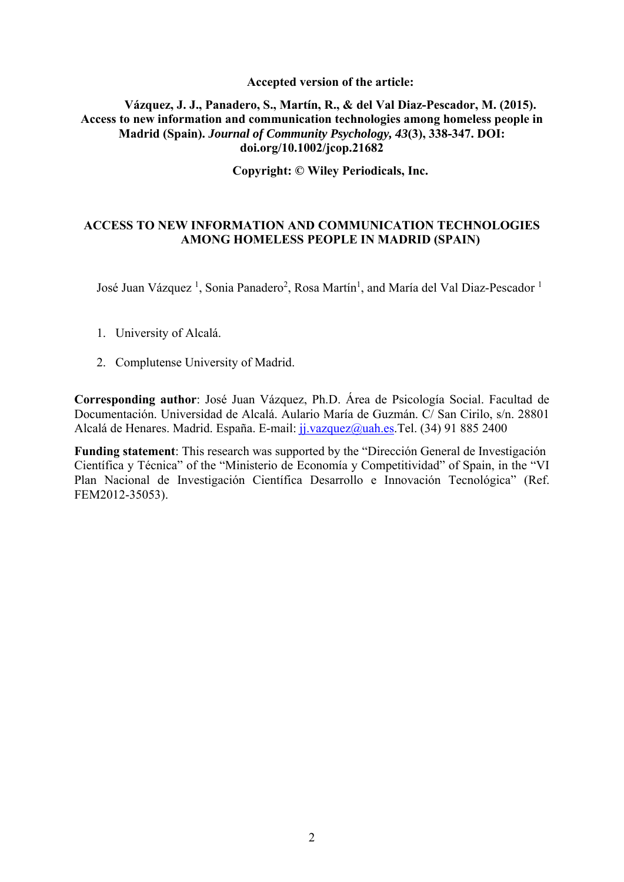## **Accepted version of the article:**

## **Vázquez, J. J., Panadero, S., Martín, R., & del Val Diaz‐Pescador, M. (2015). Access to new information and communication technologies among homeless people in Madrid (Spain).** *Journal of Community Psychology, 43***(3), 338-347. DOI: doi.org/10.1002/jcop.21682**

**Copyright: © Wiley Periodicals, Inc.** 

# **ACCESS TO NEW INFORMATION AND COMMUNICATION TECHNOLOGIES AMONG HOMELESS PEOPLE IN MADRID (SPAIN)**

José Juan Vázquez<sup>1</sup>, Sonia Panadero<sup>2</sup>, Rosa Martín<sup>1</sup>, and María del Val Diaz-Pescador<sup>1</sup>

- 1. University of Alcalá.
- 2. Complutense University of Madrid.

**Corresponding author**: José Juan Vázquez, Ph.D. Área de Psicología Social. Facultad de Documentación. Universidad de Alcalá. Aulario María de Guzmán. C/ San Cirilo, s/n. 28801 Alcalá de Henares. Madrid. España. E-mail: jj.vazquez@uah.es.Tel. (34) 91 885 2400

**Funding statement**: This research was supported by the "Dirección General de Investigación Científica y Técnica" of the "Ministerio de Economía y Competitividad" of Spain, in the "VI Plan Nacional de Investigación Científica Desarrollo e Innovación Tecnológica" (Ref. FEM2012-35053).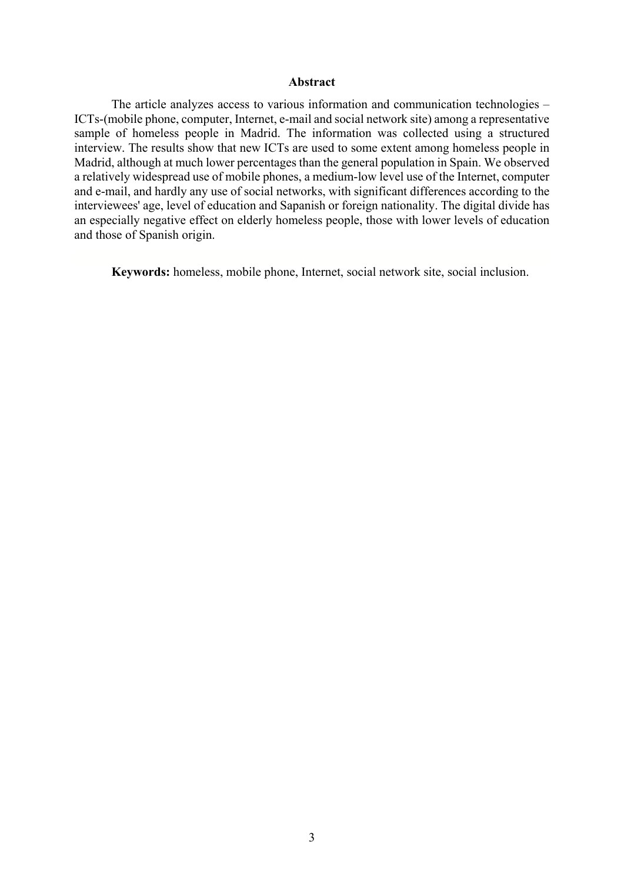#### **Abstract**

The article analyzes access to various information and communication technologies – ICTs-(mobile phone, computer, Internet, e-mail and social network site) among a representative sample of homeless people in Madrid. The information was collected using a structured interview. The results show that new ICTs are used to some extent among homeless people in Madrid, although at much lower percentages than the general population in Spain. We observed a relatively widespread use of mobile phones, a medium-low level use of the Internet, computer and e-mail, and hardly any use of social networks, with significant differences according to the interviewees' age, level of education and Sapanish or foreign nationality. The digital divide has an especially negative effect on elderly homeless people, those with lower levels of education and those of Spanish origin.

**Keywords:** homeless, mobile phone, Internet, social network site, social inclusion.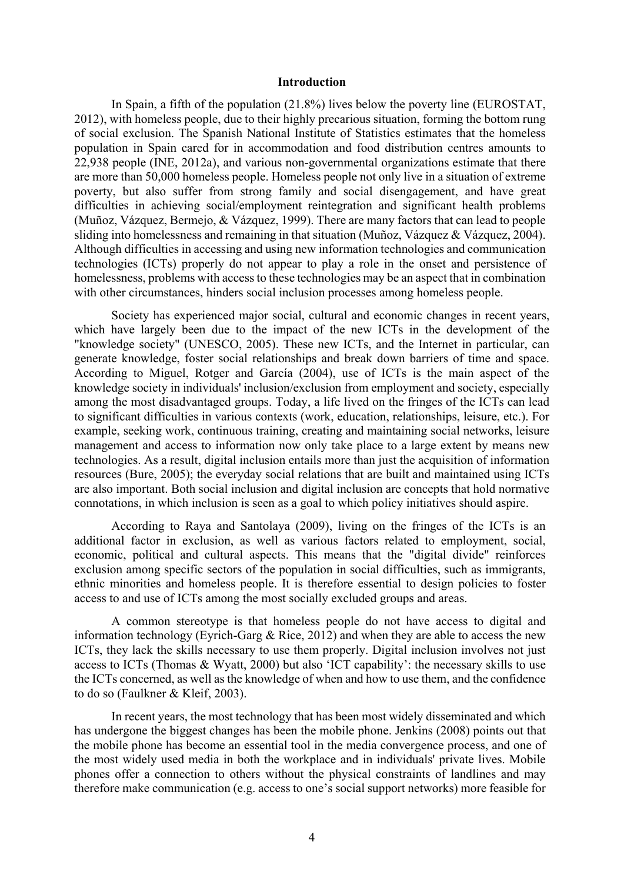#### **Introduction**

In Spain, a fifth of the population (21.8%) lives below the poverty line (EUROSTAT, 2012), with homeless people, due to their highly precarious situation, forming the bottom rung of social exclusion. The Spanish National Institute of Statistics estimates that the homeless population in Spain cared for in accommodation and food distribution centres amounts to 22,938 people (INE, 2012a), and various non-governmental organizations estimate that there are more than 50,000 homeless people. Homeless people not only live in a situation of extreme poverty, but also suffer from strong family and social disengagement, and have great difficulties in achieving social/employment reintegration and significant health problems (Muñoz, Vázquez, Bermejo, & Vázquez, 1999). There are many factors that can lead to people sliding into homelessness and remaining in that situation (Muñoz, Vázquez & Vázquez, 2004). Although difficulties in accessing and using new information technologies and communication technologies (ICTs) properly do not appear to play a role in the onset and persistence of homelessness, problems with access to these technologies may be an aspect that in combination with other circumstances, hinders social inclusion processes among homeless people.

Society has experienced major social, cultural and economic changes in recent years, which have largely been due to the impact of the new ICTs in the development of the "knowledge society" (UNESCO, 2005). These new ICTs, and the Internet in particular, can generate knowledge, foster social relationships and break down barriers of time and space. According to Miguel, Rotger and García (2004), use of ICTs is the main aspect of the knowledge society in individuals' inclusion/exclusion from employment and society, especially among the most disadvantaged groups. Today, a life lived on the fringes of the ICTs can lead to significant difficulties in various contexts (work, education, relationships, leisure, etc.). For example, seeking work, continuous training, creating and maintaining social networks, leisure management and access to information now only take place to a large extent by means new technologies. As a result, digital inclusion entails more than just the acquisition of information resources (Bure, 2005); the everyday social relations that are built and maintained using ICTs are also important. Both social inclusion and digital inclusion are concepts that hold normative connotations, in which inclusion is seen as a goal to which policy initiatives should aspire.

According to Raya and Santolaya (2009), living on the fringes of the ICTs is an additional factor in exclusion, as well as various factors related to employment, social, economic, political and cultural aspects. This means that the "digital divide" reinforces exclusion among specific sectors of the population in social difficulties, such as immigrants, ethnic minorities and homeless people. It is therefore essential to design policies to foster access to and use of ICTs among the most socially excluded groups and areas.

A common stereotype is that homeless people do not have access to digital and information technology (Eyrich-Garg & Rice, 2012) and when they are able to access the new ICTs, they lack the skills necessary to use them properly. Digital inclusion involves not just access to ICTs (Thomas & Wyatt, 2000) but also 'ICT capability': the necessary skills to use the ICTs concerned, as well as the knowledge of when and how to use them, and the confidence to do so (Faulkner & Kleif, 2003).

In recent years, the most technology that has been most widely disseminated and which has undergone the biggest changes has been the mobile phone. Jenkins (2008) points out that the mobile phone has become an essential tool in the media convergence process, and one of the most widely used media in both the workplace and in individuals' private lives. Mobile phones offer a connection to others without the physical constraints of landlines and may therefore make communication (e.g. access to one's social support networks) more feasible for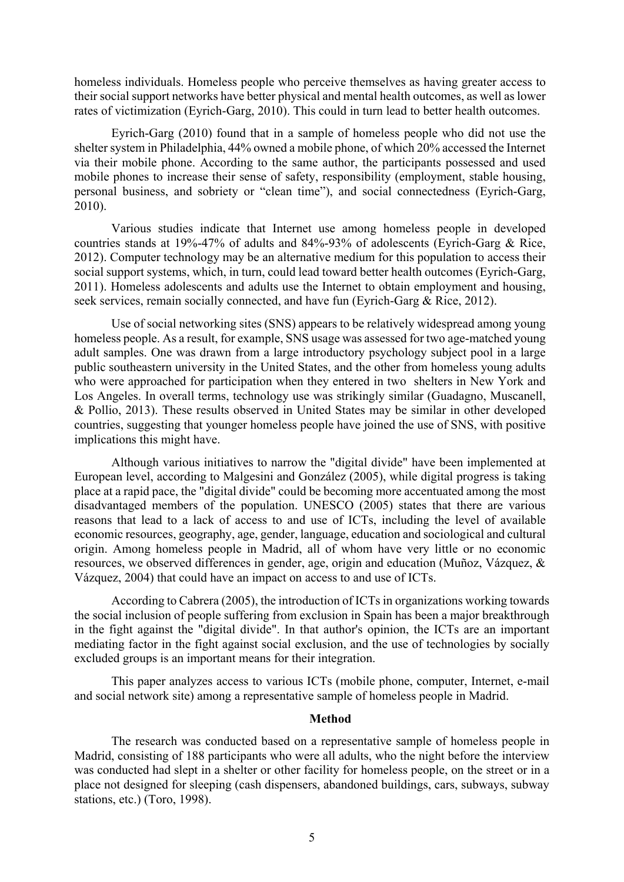homeless individuals. Homeless people who perceive themselves as having greater access to their social support networks have better physical and mental health outcomes, as well as lower rates of victimization (Eyrich-Garg, 2010). This could in turn lead to better health outcomes.

Eyrich-Garg (2010) found that in a sample of homeless people who did not use the shelter system in Philadelphia, 44% owned a mobile phone, of which 20% accessed the Internet via their mobile phone. According to the same author, the participants possessed and used mobile phones to increase their sense of safety, responsibility (employment, stable housing, personal business, and sobriety or "clean time"), and social connectedness (Eyrich-Garg, 2010).

Various studies indicate that Internet use among homeless people in developed countries stands at 19%-47% of adults and 84%-93% of adolescents (Eyrich-Garg & Rice, 2012). Computer technology may be an alternative medium for this population to access their social support systems, which, in turn, could lead toward better health outcomes (Eyrich-Garg, 2011). Homeless adolescents and adults use the Internet to obtain employment and housing, seek services, remain socially connected, and have fun (Eyrich-Garg & Rice, 2012).

Use of social networking sites (SNS) appears to be relatively widespread among young homeless people. As a result, for example, SNS usage was assessed for two age-matched young adult samples. One was drawn from a large introductory psychology subject pool in a large public southeastern university in the United States, and the other from homeless young adults who were approached for participation when they entered in two shelters in New York and Los Angeles. In overall terms, technology use was strikingly similar (Guadagno, Muscanell, & Pollio, 2013). These results observed in United States may be similar in other developed countries, suggesting that younger homeless people have joined the use of SNS, with positive implications this might have.

Although various initiatives to narrow the "digital divide" have been implemented at European level, according to Malgesini and González (2005), while digital progress is taking place at a rapid pace, the "digital divide" could be becoming more accentuated among the most disadvantaged members of the population. UNESCO (2005) states that there are various reasons that lead to a lack of access to and use of ICTs, including the level of available economic resources, geography, age, gender, language, education and sociological and cultural origin. Among homeless people in Madrid, all of whom have very little or no economic resources, we observed differences in gender, age, origin and education (Muñoz, Vázquez, & Vázquez, 2004) that could have an impact on access to and use of ICTs.

According to Cabrera (2005), the introduction of ICTs in organizations working towards the social inclusion of people suffering from exclusion in Spain has been a major breakthrough in the fight against the "digital divide". In that author's opinion, the ICTs are an important mediating factor in the fight against social exclusion, and the use of technologies by socially excluded groups is an important means for their integration.

This paper analyzes access to various ICTs (mobile phone, computer, Internet, e-mail and social network site) among a representative sample of homeless people in Madrid.

### **Method**

The research was conducted based on a representative sample of homeless people in Madrid, consisting of 188 participants who were all adults, who the night before the interview was conducted had slept in a shelter or other facility for homeless people, on the street or in a place not designed for sleeping (cash dispensers, abandoned buildings, cars, subways, subway stations, etc.) (Toro, 1998).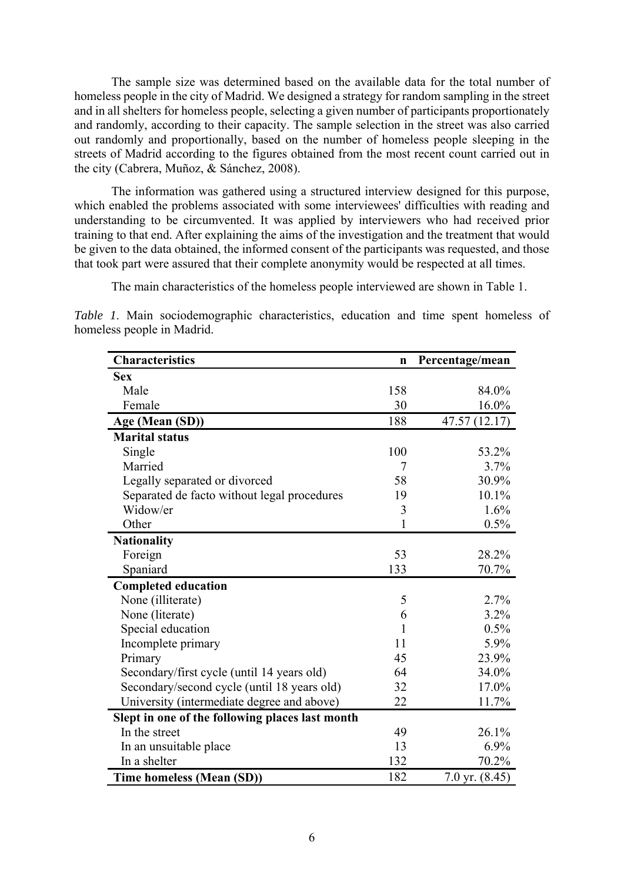The sample size was determined based on the available data for the total number of homeless people in the city of Madrid. We designed a strategy for random sampling in the street and in all shelters for homeless people, selecting a given number of participants proportionately and randomly, according to their capacity. The sample selection in the street was also carried out randomly and proportionally, based on the number of homeless people sleeping in the streets of Madrid according to the figures obtained from the most recent count carried out in the city (Cabrera, Muñoz, & Sánchez, 2008).

The information was gathered using a structured interview designed for this purpose, which enabled the problems associated with some interviewees' difficulties with reading and understanding to be circumvented. It was applied by interviewers who had received prior training to that end. After explaining the aims of the investigation and the treatment that would be given to the data obtained, the informed consent of the participants was requested, and those that took part were assured that their complete anonymity would be respected at all times.

The main characteristics of the homeless people interviewed are shown in Table 1.

*Table 1*. Main sociodemographic characteristics, education and time spent homeless of homeless people in Madrid.

| <b>Characteristics</b>                          | $\mathbf n$ | Percentage/mean  |
|-------------------------------------------------|-------------|------------------|
| <b>Sex</b>                                      |             |                  |
| Male                                            | 158         | 84.0%            |
| Female                                          | 30          | 16.0%            |
| Age (Mean (SD))                                 | 188         | 47.57 (12.17)    |
| <b>Marital status</b>                           |             |                  |
| Single                                          | 100         | 53.2%            |
| Married                                         | 7           | 3.7%             |
| Legally separated or divorced                   | 58          | 30.9%            |
| Separated de facto without legal procedures     | 19          | 10.1%            |
| Widow/er                                        | 3           | 1.6%             |
| Other                                           | 1           | 0.5%             |
| <b>Nationality</b>                              |             |                  |
| Foreign                                         | 53          | 28.2%            |
| Spaniard                                        | 133         | 70.7%            |
| <b>Completed education</b>                      |             |                  |
| None (illiterate)                               | 5           | 2.7%             |
| None (literate)                                 | 6           | 3.2%             |
| Special education                               | 1           | 0.5%             |
| Incomplete primary                              | 11          | 5.9%             |
| Primary                                         | 45          | 23.9%            |
| Secondary/first cycle (until 14 years old)      | 64          | 34.0%            |
| Secondary/second cycle (until 18 years old)     | 32          | 17.0%            |
| University (intermediate degree and above)      | 22          | 11.7%            |
| Slept in one of the following places last month |             |                  |
| In the street                                   | 49          | 26.1%            |
| In an unsuitable place                          | 13          | 6.9%             |
| In a shelter                                    | 132         | 70.2%            |
| Time homeless (Mean (SD))                       | 182         | 7.0 yr. $(8.45)$ |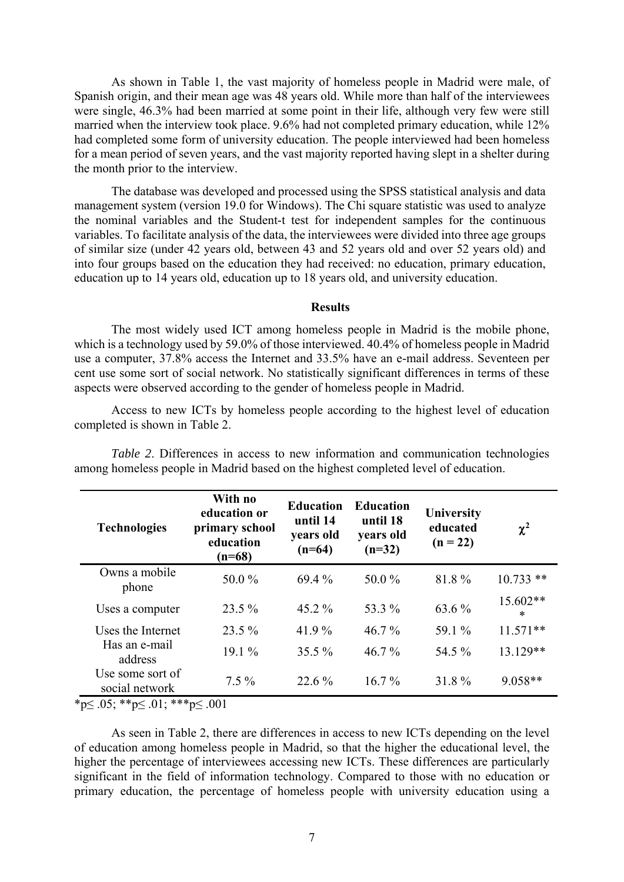As shown in Table 1, the vast majority of homeless people in Madrid were male, of Spanish origin, and their mean age was 48 years old. While more than half of the interviewees were single, 46.3% had been married at some point in their life, although very few were still married when the interview took place. 9.6% had not completed primary education, while 12% had completed some form of university education. The people interviewed had been homeless for a mean period of seven years, and the vast majority reported having slept in a shelter during the month prior to the interview.

The database was developed and processed using the SPSS statistical analysis and data management system (version 19.0 for Windows). The Chi square statistic was used to analyze the nominal variables and the Student-t test for independent samples for the continuous variables. To facilitate analysis of the data, the interviewees were divided into three age groups of similar size (under 42 years old, between 43 and 52 years old and over 52 years old) and into four groups based on the education they had received: no education, primary education, education up to 14 years old, education up to 18 years old, and university education.

### **Results**

The most widely used ICT among homeless people in Madrid is the mobile phone, which is a technology used by 59.0% of those interviewed. 40.4% of homeless people in Madrid use a computer, 37.8% access the Internet and 33.5% have an e-mail address. Seventeen per cent use some sort of social network. No statistically significant differences in terms of these aspects were observed according to the gender of homeless people in Madrid.

Access to new ICTs by homeless people according to the highest level of education completed is shown in Table 2.

| <b>Technologies</b>                | With no<br>education or<br>primary school<br>education<br>$(n=68)$ | <b>Education</b><br>until 14<br>years old<br>$(n=64)$ | <b>Education</b><br>until 18<br>years old<br>$(n=32)$ | University<br>educated<br>$(n = 22)$ | $\chi^2$           |
|------------------------------------|--------------------------------------------------------------------|-------------------------------------------------------|-------------------------------------------------------|--------------------------------------|--------------------|
| Owns a mobile<br>phone             | 50.0 $\%$                                                          | 69.4 %                                                | 50.0 $\%$                                             | 81.8%                                | $10.733$ **        |
| Uses a computer                    | $23.5\%$                                                           | 45.2 $%$                                              | 53.3 %                                                | 63.6 %                               | 15.602**<br>$\ast$ |
| Uses the Internet                  | $23.5\%$                                                           | 41.9%                                                 | $46.7\%$                                              | 59.1 %                               | $11.571**$         |
| Has an e-mail<br>address           | $19.1\%$                                                           | $35.5\%$                                              | $46.7\%$                                              | 54.5 %                               | 13.129**           |
| Use some sort of<br>social network | $7.5\%$                                                            | $22.6\%$                                              | $16.7\%$                                              | 31.8%                                | $9.058**$          |

*Table 2*. Differences in access to new information and communication technologies among homeless people in Madrid based on the highest completed level of education.

\*p≤ .05; \*\*p≤ .01; \*\*\*p≤ .001

As seen in Table 2, there are differences in access to new ICTs depending on the level of education among homeless people in Madrid, so that the higher the educational level, the higher the percentage of interviewees accessing new ICTs. These differences are particularly significant in the field of information technology. Compared to those with no education or primary education, the percentage of homeless people with university education using a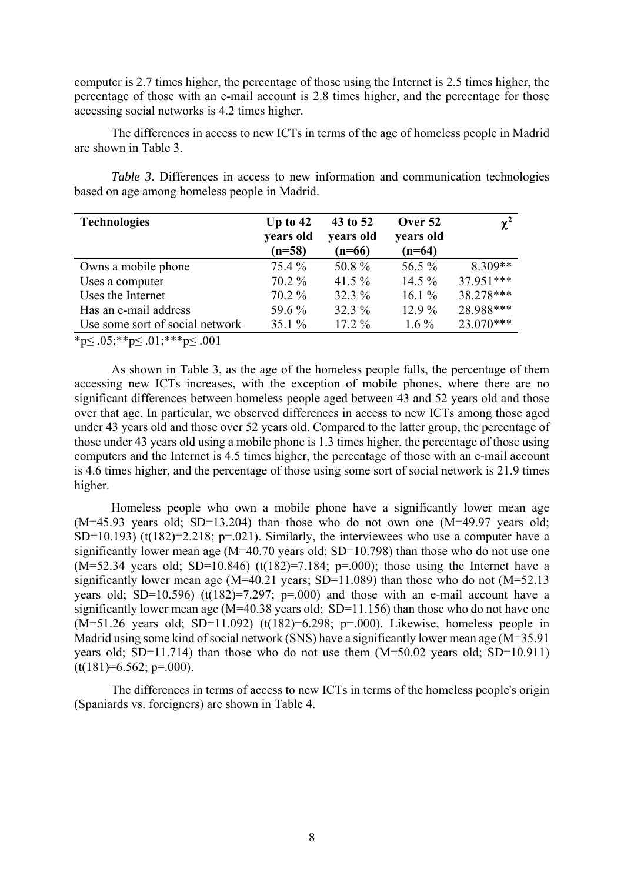computer is 2.7 times higher, the percentage of those using the Internet is 2.5 times higher, the percentage of those with an e-mail account is 2.8 times higher, and the percentage for those accessing social networks is 4.2 times higher.

The differences in access to new ICTs in terms of the age of homeless people in Madrid are shown in Table 3.

*Table 3*. Differences in access to new information and communication technologies based on age among homeless people in Madrid.

| <b>Technologies</b>             | Up to $42$<br>years old<br>$(n=58)$ | 43 to 52<br>years old<br>$(n=66)$ | Over 52<br>years old<br>$(n=64)$ | $\chi^2$  |
|---------------------------------|-------------------------------------|-----------------------------------|----------------------------------|-----------|
| Owns a mobile phone             | 75.4 %                              | 50.8%                             | 56.5 %                           | $8.309**$ |
| Uses a computer                 | $70.2\%$                            | 41.5 $%$                          | 14.5 $%$                         | 37.951*** |
| Uses the Internet               | $70.2\%$                            | 32.3 %                            | 16.1 $%$                         | 38.278*** |
| Has an e-mail address           | 59.6 %                              | 32.3 %                            | $12.9\%$                         | 28.988*** |
| Use some sort of social network | 35.1 $%$                            | $17.2\%$                          | $1.6\%$                          | 23.070*** |

 $*p \leq .05; **p \leq .01; **p \leq .001$ 

As shown in Table 3, as the age of the homeless people falls, the percentage of them accessing new ICTs increases, with the exception of mobile phones, where there are no significant differences between homeless people aged between 43 and 52 years old and those over that age. In particular, we observed differences in access to new ICTs among those aged under 43 years old and those over 52 years old. Compared to the latter group, the percentage of those under 43 years old using a mobile phone is 1.3 times higher, the percentage of those using computers and the Internet is 4.5 times higher, the percentage of those with an e-mail account is 4.6 times higher, and the percentage of those using some sort of social network is 21.9 times higher.

Homeless people who own a mobile phone have a significantly lower mean age  $(M=45.93$  years old; SD=13.204) than those who do not own one  $(M=49.97$  years old; SD=10.193) (t(182)=2.218; p=.021). Similarly, the interviewees who use a computer have a significantly lower mean age (M=40.70 years old; SD=10.798) than those who do not use one  $(M=52.34$  years old; SD=10.846) (t(182)=7.184; p=.000); those using the Internet have a significantly lower mean age ( $M=40.21$  years; SD=11.089) than those who do not ( $M=52.13$ years old; SD=10.596) (t(182)=7.297; p=.000) and those with an e-mail account have a significantly lower mean age (M=40.38 years old; SD=11.156) than those who do not have one  $(M=51.26 \text{ years old}; SD=11.092)$   $(t(182)=6.298; p=.000)$ . Likewise, homeless people in Madrid using some kind of social network (SNS) have a significantly lower mean age (M=35.91 years old; SD=11.714) than those who do not use them (M=50.02 years old; SD=10.911)  $(t(181)=6.562; p=.000).$ 

The differences in terms of access to new ICTs in terms of the homeless people's origin (Spaniards vs. foreigners) are shown in Table 4.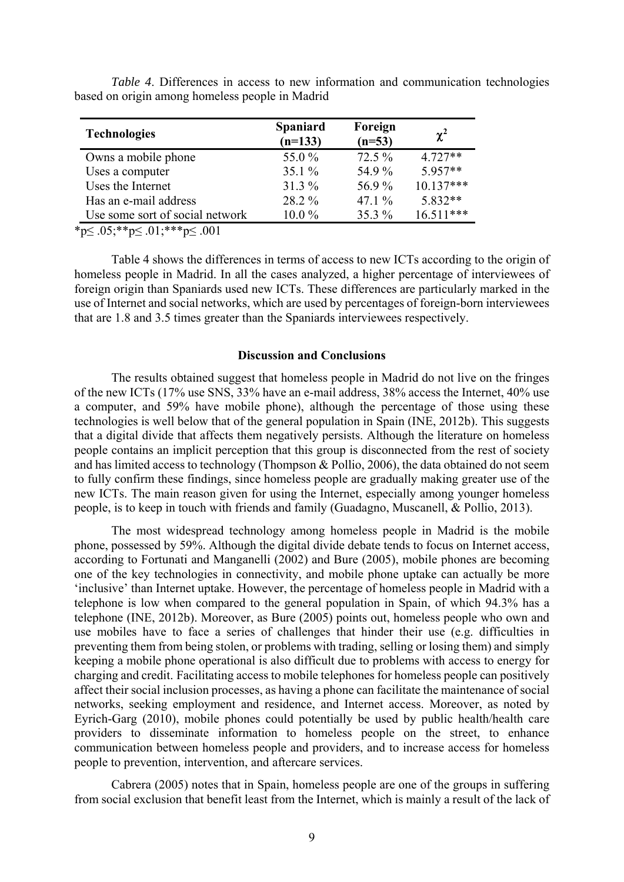| <b>Technologies</b>             | <b>Spaniard</b><br>$(n=133)$ | Foreign<br>$(n=53)$ | $\chi^2$    |
|---------------------------------|------------------------------|---------------------|-------------|
| Owns a mobile phone             | 55.0 %                       | 72.5 %              | $4.727**$   |
| Uses a computer                 | 35.1 $%$                     | 54.9 %              | $5.957**$   |
| Uses the Internet               | 31.3 %                       | 56.9%               | $10.137***$ |
| Has an e-mail address           | 28.2 %                       | 47.1 $\%$           | $5.832**$   |
| Use some sort of social network | $10.0\%$                     | 35.3 %              | $16.511***$ |

*Table 4*. Differences in access to new information and communication technologies based on origin among homeless people in Madrid

 $*_{p} \leq .05; **_{p} \leq .01; **_{p} \leq .001$ 

Table 4 shows the differences in terms of access to new ICTs according to the origin of homeless people in Madrid. In all the cases analyzed, a higher percentage of interviewees of foreign origin than Spaniards used new ICTs. These differences are particularly marked in the use of Internet and social networks, which are used by percentages of foreign-born interviewees that are 1.8 and 3.5 times greater than the Spaniards interviewees respectively.

## **Discussion and Conclusions**

The results obtained suggest that homeless people in Madrid do not live on the fringes of the new ICTs (17% use SNS, 33% have an e-mail address, 38% access the Internet, 40% use a computer, and 59% have mobile phone), although the percentage of those using these technologies is well below that of the general population in Spain (INE, 2012b). This suggests that a digital divide that affects them negatively persists. Although the literature on homeless people contains an implicit perception that this group is disconnected from the rest of society and has limited access to technology (Thompson & Pollio, 2006), the data obtained do not seem to fully confirm these findings, since homeless people are gradually making greater use of the new ICTs. The main reason given for using the Internet, especially among younger homeless people, is to keep in touch with friends and family (Guadagno, Muscanell, & Pollio, 2013).

The most widespread technology among homeless people in Madrid is the mobile phone, possessed by 59%. Although the digital divide debate tends to focus on Internet access, according to Fortunati and Manganelli (2002) and Bure (2005), mobile phones are becoming one of the key technologies in connectivity, and mobile phone uptake can actually be more 'inclusive' than Internet uptake. However, the percentage of homeless people in Madrid with a telephone is low when compared to the general population in Spain, of which 94.3% has a telephone (INE, 2012b). Moreover, as Bure (2005) points out, homeless people who own and use mobiles have to face a series of challenges that hinder their use (e.g. difficulties in preventing them from being stolen, or problems with trading, selling or losing them) and simply keeping a mobile phone operational is also difficult due to problems with access to energy for charging and credit. Facilitating access to mobile telephones for homeless people can positively affect their social inclusion processes, as having a phone can facilitate the maintenance of social networks, seeking employment and residence, and Internet access. Moreover, as noted by Eyrich-Garg (2010), mobile phones could potentially be used by public health/health care providers to disseminate information to homeless people on the street, to enhance communication between homeless people and providers, and to increase access for homeless people to prevention, intervention, and aftercare services.

Cabrera (2005) notes that in Spain, homeless people are one of the groups in suffering from social exclusion that benefit least from the Internet, which is mainly a result of the lack of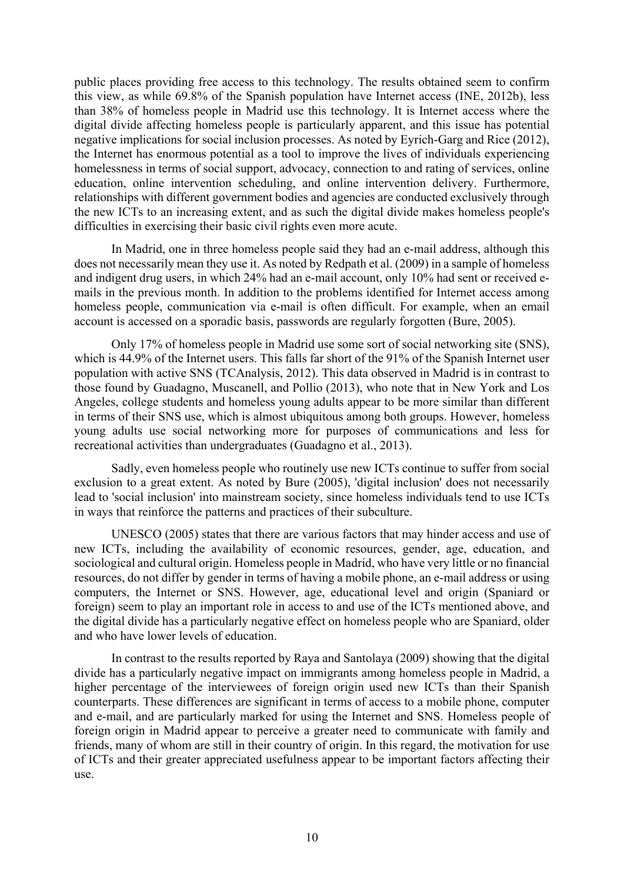public places providing free access to this technology. The results obtained seem to confirm this view, as while 69.8% of the Spanish population have Internet access (INE, 2012b), less than 38% of homeless people in Madrid use this technology. It is Internet access where the digital divide affecting homeless people is particularly apparent, and this issue has potential negative implications for social inclusion processes. As noted by Eyrich-Garg and Rice (2012), the Internet has enormous potential as a tool to improve the lives of individuals experiencing homelessness in terms of social support, advocacy, connection to and rating of services, online education, online intervention scheduling, and online intervention delivery. Furthermore, relationships with different government bodies and agencies are conducted exclusively through the new ICTs to an increasing extent, and as such the digital divide makes homeless people's difficulties in exercising their basic civil rights even more acute.

In Madrid, one in three homeless people said they had an e-mail address, although this does not necessarily mean they use it. As noted by Redpath et al. (2009) in a sample of homeless and indigent drug users, in which 24% had an e-mail account, only 10% had sent or received emails in the previous month. In addition to the problems identified for Internet access among homeless people, communication via e-mail is often difficult. For example, when an email account is accessed on a sporadic basis, passwords are regularly forgotten (Bure, 2005).

Only 17% of homeless people in Madrid use some sort of social networking site (SNS), which is 44.9% of the Internet users. This falls far short of the 91% of the Spanish Internet user population with active SNS (TCAnalysis, 2012). This data observed in Madrid is in contrast to those found by Guadagno, Muscanell, and Pollio (2013), who note that in New York and Los Angeles, college students and homeless young adults appear to be more similar than different in terms of their SNS use, which is almost ubiquitous among both groups. However, homeless young adults use social networking more for purposes of communications and less for recreational activities than undergraduates (Guadagno et al., 2013).

Sadly, even homeless people who routinely use new ICTs continue to suffer from social exclusion to a great extent. As noted by Bure (2005), 'digital inclusion' does not necessarily lead to 'social inclusion' into mainstream society, since homeless individuals tend to use ICTs in ways that reinforce the patterns and practices of their subculture.

UNESCO (2005) states that there are various factors that may hinder access and use of new ICTs, including the availability of economic resources, gender, age, education, and sociological and cultural origin. Homeless people in Madrid, who have very little or no financial resources, do not differ by gender in terms of having a mobile phone, an e-mail address or using computers, the Internet or SNS. However, age, educational level and origin (Spaniard or foreign) seem to play an important role in access to and use of the ICTs mentioned above, and the digital divide has a particularly negative effect on homeless people who are Spaniard, older and who have lower levels of education.

In contrast to the results reported by Raya and Santolaya (2009) showing that the digital divide has a particularly negative impact on immigrants among homeless people in Madrid, a higher percentage of the interviewees of foreign origin used new ICTs than their Spanish counterparts. These differences are significant in terms of access to a mobile phone, computer and e-mail, and are particularly marked for using the Internet and SNS. Homeless people of foreign origin in Madrid appear to perceive a greater need to communicate with family and friends, many of whom are still in their country of origin. In this regard, the motivation for use of ICTs and their greater appreciated usefulness appear to be important factors affecting their use.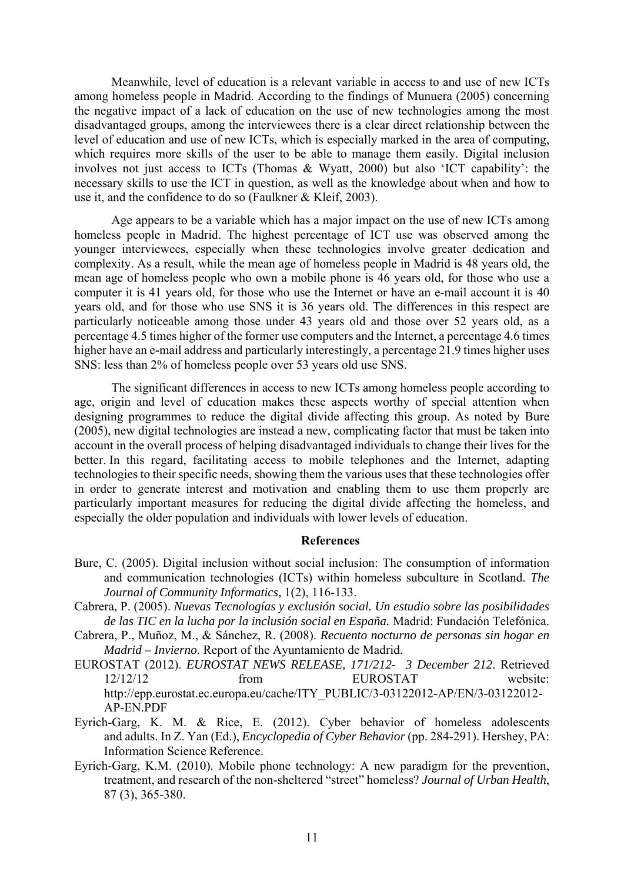Meanwhile, level of education is a relevant variable in access to and use of new ICTs among homeless people in Madrid. According to the findings of Munuera (2005) concerning the negative impact of a lack of education on the use of new technologies among the most disadvantaged groups, among the interviewees there is a clear direct relationship between the level of education and use of new ICTs, which is especially marked in the area of computing, which requires more skills of the user to be able to manage them easily. Digital inclusion involves not just access to ICTs (Thomas & Wyatt, 2000) but also 'ICT capability': the necessary skills to use the ICT in question, as well as the knowledge about when and how to use it, and the confidence to do so (Faulkner & Kleif, 2003).

Age appears to be a variable which has a major impact on the use of new ICTs among homeless people in Madrid. The highest percentage of ICT use was observed among the younger interviewees, especially when these technologies involve greater dedication and complexity. As a result, while the mean age of homeless people in Madrid is 48 years old, the mean age of homeless people who own a mobile phone is 46 years old, for those who use a computer it is 41 years old, for those who use the Internet or have an e-mail account it is 40 years old, and for those who use SNS it is 36 years old. The differences in this respect are particularly noticeable among those under 43 years old and those over 52 years old, as a percentage 4.5 times higher of the former use computers and the Internet, a percentage 4.6 times higher have an e-mail address and particularly interestingly, a percentage 21.9 times higher uses SNS: less than 2% of homeless people over 53 years old use SNS.

The significant differences in access to new ICTs among homeless people according to age, origin and level of education makes these aspects worthy of special attention when designing programmes to reduce the digital divide affecting this group. As noted by Bure (2005), new digital technologies are instead a new, complicating factor that must be taken into account in the overall process of helping disadvantaged individuals to change their lives for the better. In this regard, facilitating access to mobile telephones and the Internet, adapting technologies to their specific needs, showing them the various uses that these technologies offer in order to generate interest and motivation and enabling them to use them properly are particularly important measures for reducing the digital divide affecting the homeless, and especially the older population and individuals with lower levels of education.

#### **References**

- Bure, C. (2005). Digital inclusion without social inclusion: The consumption of information and communication technologies (ICTs) within homeless subculture in Scotland. *The Journal of Community Informatics,* 1(2), 116-133.
- Cabrera, P. (2005). *Nuevas Tecnologías y exclusión social. Un estudio sobre las posibilidades de las TIC en la lucha por la inclusión social en España.* Madrid: Fundación Telefónica.
- Cabrera, P., Muñoz, M., & Sánchez, R. (2008). *Recuento nocturno de personas sin hogar en Madrid – Invierno*. Report of the Ayuntamiento de Madrid.
- EUROSTAT (2012). *EUROSTAT NEWS RELEASE, 171/212- 3 December 212*. Retrieved 12/12/12 from EUROSTAT website: http://epp.eurostat.ec.europa.eu/cache/ITY\_PUBLIC/3-03122012-AP/EN/3-03122012- AP-EN.PDF
- Eyrich-Garg, K. M. & Rice, E. (2012). Cyber behavior of homeless adolescents and adults. In Z. Yan (Ed.), *Encyclopedia of Cyber Behavior* (pp. 284-291). Hershey, PA: Information Science Reference.
- Eyrich-Garg, K.M. (2010). Mobile phone technology: A new paradigm for the prevention, treatment, and research of the non-sheltered "street" homeless? *Journal of Urban Health*, 87 (3), 365-380.